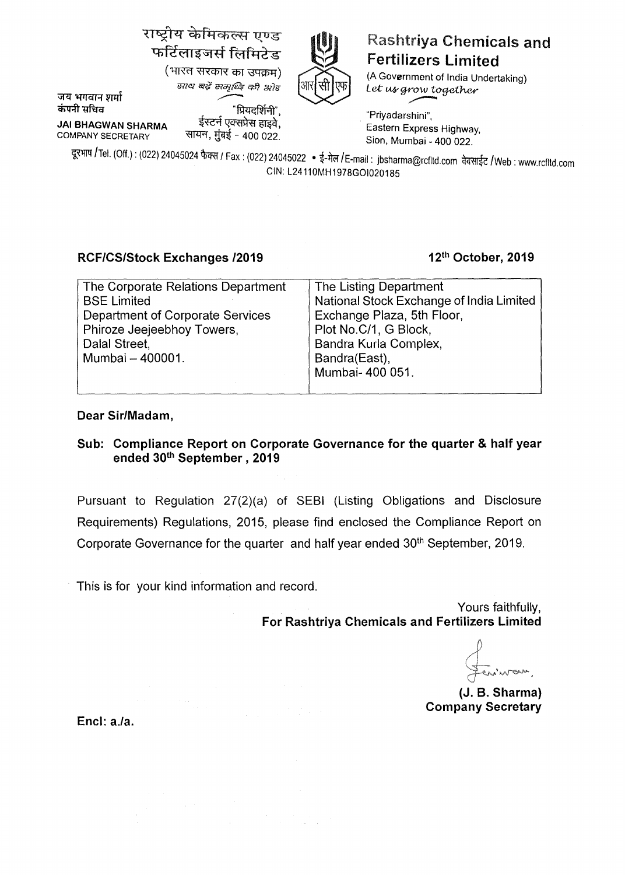# राष्ट्रीय केमिकल्स एण्ड फर्टिलाइजर्स लिमिटेड<br>(भारत सरकार का उपक्रम)



## **Rashtriya Chemicals and** Fertilizers Limited

(A Government of India Undertaking) Let us grow together

जय भगवान शर्मा

tHlt!l *"is'lif* tHoj\_tel;- *ct>'l* 3771! \_,.--

~ "Rl4G~l'i)", . "Priyadarshini", **JAi BHAGWAN SHARMA** ~~' Eastern Express Highway COMPANY SECRETARY ~' ~'1~ - 400 022. Sion, Mumbai\_ 400 022. '

दूरभाष /Tel. (Off.) : (022) 24045024 फैक्स / Fax : (022) 24045022 • ई-मेल /E-mail : jbsharma@rcfltd.com वेबसाईट /Web : www.rcfltd.com CIN: L24110MH1978GOI020185

### **RCF/CS/Stock Exchanges /2019**

#### **12th October, 2019**

| The Corporate Relations Department      | The Listing Department                   |
|-----------------------------------------|------------------------------------------|
| <b>BSE Limited</b>                      | National Stock Exchange of India Limited |
| <b>Department of Corporate Services</b> | Exchange Plaza, 5th Floor,               |
| Phiroze Jeejeebhoy Towers,              | Plot No.C/1, G Block,                    |
| Dalal Street,                           | Bandra Kurla Complex,                    |
| Mumbai - 400001.                        | Bandra(East),                            |
|                                         | Mumbai- 400 051.                         |
|                                         |                                          |

#### **Dear Sir/Madam,**

#### **Sub: Compliance Report on Corporate Governance for the quarter** & **half year ended 30th September** , **2019**

Pursuant to Regulation 27(2)(a) of SEBI (Listing Obligations and Disclosure Requirements) Regulations, 2015, please find enclosed the Compliance Report on Corporate Governance for the quarter and half year ended 30<sup>th</sup> September, 2019.

This is for your kind information and record.

Yours faithfully, **For Rashtriya Chemicals and Fertilizers Limited** 

wan.

(J. B. Sharma) Company Secretary

**Encl: a.la.**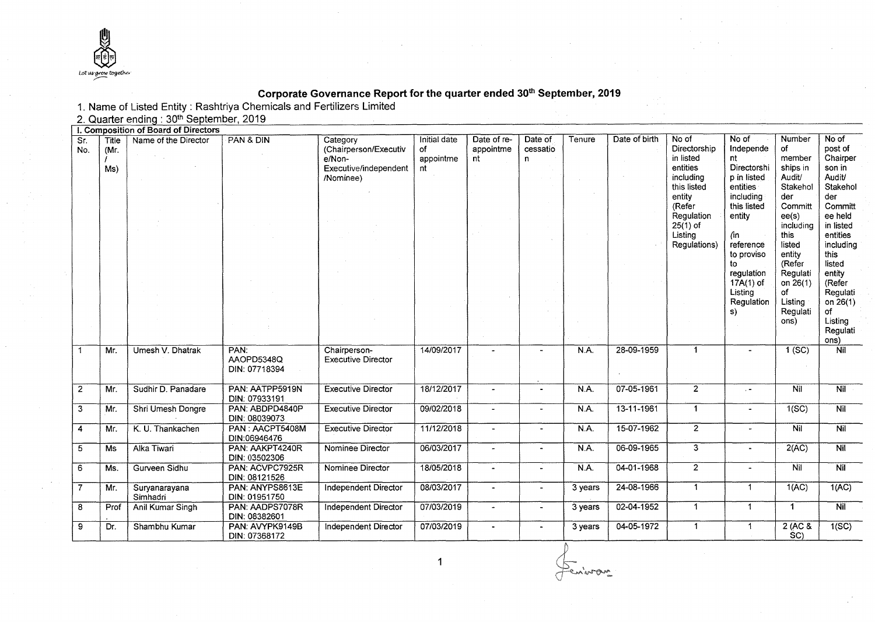

#### **Corporate Governance Report for the quarter ended 30<sup>1</sup> h September, 2019**

|                |                      |                                         | 1. Name of Listed Entity: Rashtriya Chemicals and Fertilizers Limited |                                                                                   |                                       |                                |                                     |         |               |                                                                                        |                                                                                  |                                                                              |                                                                                     |
|----------------|----------------------|-----------------------------------------|-----------------------------------------------------------------------|-----------------------------------------------------------------------------------|---------------------------------------|--------------------------------|-------------------------------------|---------|---------------|----------------------------------------------------------------------------------------|----------------------------------------------------------------------------------|------------------------------------------------------------------------------|-------------------------------------------------------------------------------------|
|                |                      | 2. Quarter ending: 30th September, 2019 |                                                                       |                                                                                   |                                       |                                |                                     |         |               |                                                                                        |                                                                                  |                                                                              |                                                                                     |
|                |                      | I. Composition of Board of Directors    |                                                                       |                                                                                   |                                       |                                |                                     |         |               |                                                                                        |                                                                                  |                                                                              |                                                                                     |
| Sr.<br>No.     | Title<br>(Mr.<br>Ms) | Name of the Director                    | PAN & DIN                                                             | Category<br>(Chairperson/Executiv<br>e/Non-<br>Executive/independent<br>/Nominee) | Initial date<br>of<br>appointme<br>nt | Date of re-<br>appointme<br>nt | Date of<br>cessatio<br>$\mathbf{n}$ | Tenure  | Date of birth | No of<br>Directorship<br>in listed<br>entities<br>including                            | No of<br>Independe<br>nt<br>Directorshi<br>p in listed                           | Number<br>of<br>member<br>ships in<br>Audit/                                 | No of<br>post of<br>Chairper<br>son in<br>Audit/                                    |
|                |                      |                                         |                                                                       |                                                                                   |                                       |                                |                                     |         |               | this listed<br>entity<br>(Refer<br>Regulation<br>$25(1)$ of<br>Listing<br>Regulations) | entities<br>including<br>this listed<br>entity<br>(in<br>reference<br>to proviso | Stakehol<br>der<br>Committ<br>ee(s)<br>including<br>this<br>listed<br>entity | Stakehol<br>der<br>Committ<br>ee held<br>in listed<br>entities<br>including<br>this |
|                |                      |                                         |                                                                       |                                                                                   |                                       |                                |                                     |         |               |                                                                                        | to<br>regulation<br>17A(1) of<br>Listina<br>Regulation<br>s)                     | (Refer<br>Regulati<br>on $26(1)$<br>of<br>Listing<br>Regulati<br>ons)        | listed<br>entity<br>(Refer<br>Regulati<br>on 26(1)<br>of<br>Listing<br>Regulati     |
|                |                      |                                         |                                                                       |                                                                                   |                                       |                                |                                     |         |               |                                                                                        |                                                                                  |                                                                              | ons)                                                                                |
| $\mathbf{1}$   | Mr.                  | Umesh V. Dhatrak                        | PAN:<br>AAOPD5348Q<br>DIN: 07718394                                   | Chairperson-<br><b>Executive Director</b>                                         | 14/09/2017                            |                                |                                     | N.A.    | 28-09-1959    | $\mathbf{1}$                                                                           |                                                                                  | 1(SC)                                                                        | Nil                                                                                 |
| $\overline{2}$ | Mr.                  | Sudhir D. Panadare                      | PAN: AATPP5919N<br>DIN: 07933191                                      | <b>Executive Director</b>                                                         | 18/12/2017                            | $\bar{a}$                      | $\overline{\phantom{a}}$            | N.A.    | 07-05-1961    | $\overline{2}$                                                                         | $\epsilon$ $\sim$                                                                | Nil                                                                          | Nil                                                                                 |
| $\mathbf{3}$   | Mr.                  | Shri Umesh Dongre                       | PAN: ABDPD4840P<br>DIN: 08039073                                      | <b>Executive Director</b>                                                         | 09/02/2018                            | $\sim$                         |                                     | N.A.    | 13-11-1961    | $\mathbf{1}$                                                                           | $\blacksquare$                                                                   | 1(SC)                                                                        | <b>Nil</b>                                                                          |
| 4              | Mr.                  | K. U. Thankachen                        | PAN: AACPT5408M<br>DIN:06946476                                       | <b>Executive Director</b>                                                         | 11/12/2018                            | $\blacksquare$                 | $\blacksquare$                      | N.A.    | 15-07-1962    | $\overline{2}$                                                                         | $\overline{a}$                                                                   | <b>Nil</b>                                                                   | Nil                                                                                 |
| 5              | Ms                   | Alka Tiwari                             | PAN: AAKPT4240R<br>DIN: 03502306                                      | Nominee Director                                                                  | 06/03/2017                            | $\sim$                         | $\overline{a}$                      | N.A.    | 06-09-1965    | 3                                                                                      | $\blacksquare$                                                                   | 2(AC)                                                                        | Nil                                                                                 |
| 6              | Ms.                  | Gurveen Sidhu                           | PAN: ACVPC7925R<br>DIN: 08121526                                      | Nominee Director                                                                  | 18/05/2018                            | $\blacksquare$                 | $\sim$                              | N.A.    | 04-01-1968    | $\overline{2}$                                                                         | $\Delta$                                                                         | Nil                                                                          | $\overline{Nil}$                                                                    |
| $\overline{7}$ | Mr.                  | Suryanarayana<br>Simhadri               | PAN: ANYPS8613E<br>DIN: 01951750                                      | <b>Independent Director</b>                                                       | 08/03/2017                            | $\blacksquare$                 | $\blacksquare$                      | 3 years | 24-08-1966    | $\mathbf{1}$                                                                           | $\overline{1}$                                                                   | 1(AC)                                                                        | 1(AC)                                                                               |
| 8              | Prof                 | Anil Kumar Singh                        | PAN: AADPS7078R<br>DIN: 08382601                                      | <b>Independent Director</b>                                                       | 07/03/2019                            | $\sim$                         | $\tilde{\phantom{a}}$               | 3 years | 02-04-1952    | $\mathbf{1}$                                                                           | $\mathbf{1}$                                                                     | $\mathbf{1}$                                                                 | <b>Nil</b>                                                                          |
| 9              | Dr.                  | Shambhu Kumar                           | PAN: AVYPK9149B<br>DIN: 07368172                                      | Independent Director                                                              | 07/03/2019                            |                                |                                     | 3 years | 04-05-1972    | $\mathbf{1}$                                                                           | $\blacktriangleleft$                                                             | $2$ (AC &<br>SC)                                                             | 1(SC)                                                                               |

1 (  $\bigcirc$ 

 $\mathbb{P}^-$ 

 $\oint_{\mathbb{C}}$ uin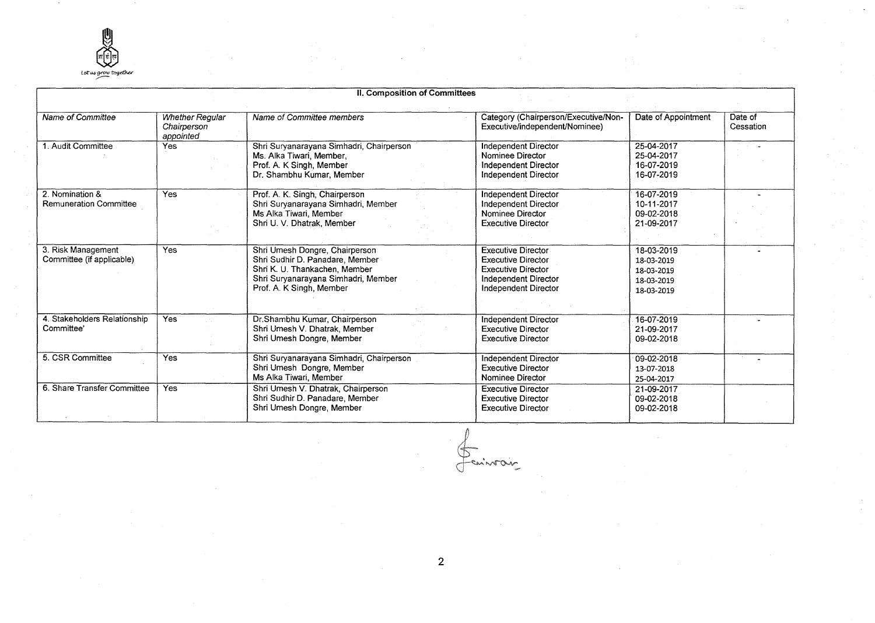

|                                                  |                                                    | II. Composition of Committees                                                                                                                                         |                                                                                                                                            |                                                                    |                      |
|--------------------------------------------------|----------------------------------------------------|-----------------------------------------------------------------------------------------------------------------------------------------------------------------------|--------------------------------------------------------------------------------------------------------------------------------------------|--------------------------------------------------------------------|----------------------|
| Name of Committee                                | <b>Whether Reqular</b><br>Chairperson<br>appointed | Name of Committee members                                                                                                                                             | Category (Chairperson/Executive/Non-<br>Executive/independent/Nominee)                                                                     | Date of Appointment                                                | Date of<br>Cessation |
| 1. Audit Committee                               | <b>Yes</b>                                         | Shri Suryanarayana Simhadri, Chairperson<br>Ms. Alka Tiwari, Member,<br>Prof. A. K Singh, Member<br>Dr. Shambhu Kumar, Member                                         | <b>Independent Director</b><br>Nominee Director<br>Independent Director<br>Independent Director                                            | 25-04-2017<br>25-04-2017<br>16-07-2019<br>16-07-2019               |                      |
| 2. Nomination &<br><b>Remuneration Committee</b> | Yes                                                | Prof. A. K. Singh, Chairperson<br>Shri Suryanarayana Simhadri, Member<br>Ms Alka Tiwari, Member<br>Shri U. V. Dhatrak, Member                                         | Independent Director<br>Independent Director<br>Nominee Director<br><b>Executive Director</b>                                              | 16-07-2019<br>10-11-2017<br>09-02-2018<br>21-09-2017               |                      |
| 3. Risk Management<br>Committee (if applicable)  | <b>Yes</b>                                         | Shri Umesh Dongre, Chairperson<br>Shri Sudhir D. Panadare, Member<br>Shri K. U. Thankachen, Member<br>Shri Suryanarayana Simhadri, Member<br>Prof. A. K Singh, Member | <b>Executive Director</b><br><b>Executive Director</b><br><b>Executive Director</b><br>Independent Director<br><b>Independent Director</b> | 18-03-2019<br>18-03-2019<br>18-03-2019<br>18-03-2019<br>18-03-2019 |                      |
| 4. Stakeholders Relationship<br>Committee'       | <b>Yes</b>                                         | Dr.Shambhu Kumar, Chairperson<br>Shri Umesh V. Dhatrak, Member<br>Shri Umesh Dongre, Member                                                                           | <b>Independent Director</b><br><b>Executive Director</b><br><b>Executive Director</b>                                                      | 16-07-2019<br>21-09-2017<br>09-02-2018                             |                      |
| 5. CSR Committee                                 | Yes                                                | Shri Suryanarayana Simhadri, Chairperson<br>Shri Umesh Dongre, Member<br>Ms Alka Tiwari, Member                                                                       | Independent Director<br><b>Executive Director</b><br>Nominee Director                                                                      | 09-02-2018<br>13-07-2018<br>25-04-2017                             |                      |
| 6. Share Transfer Committee                      | <b>Yes</b>                                         | Shri Umesh V. Dhatrak, Chairperson<br>Shri Sudhir D. Panadare, Member<br>Shri Umesh Dongre, Member                                                                    | <b>Executive Director</b><br><b>Executive Director</b><br><b>Executive Director</b>                                                        | 21-09-2017<br>09-02-2018<br>09-02-2018                             |                      |

Feninsoin

2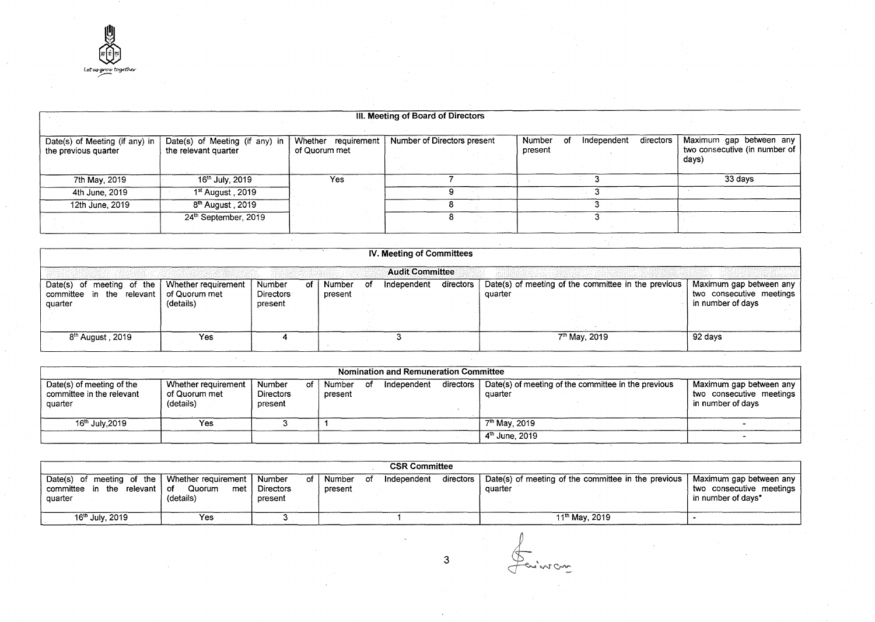|                                                        |                                                        |                                      | III. Meeting of Board of Directors |                                                     |                                                                   |
|--------------------------------------------------------|--------------------------------------------------------|--------------------------------------|------------------------------------|-----------------------------------------------------|-------------------------------------------------------------------|
|                                                        |                                                        |                                      |                                    |                                                     |                                                                   |
| Date(s) of Meeting (if any) in<br>the previous quarter | Date(s) of Meeting (if any) in<br>the relevant quarter | Whether requirement<br>of Quorum met | Number of Directors present        | directors<br>Number<br>Independent<br>Ωt<br>present | Maximum gap between any<br>two consecutive (in number of<br>days) |
|                                                        |                                                        |                                      |                                    |                                                     |                                                                   |
| 7th May, 2019                                          | 16 <sup>th</sup> July, 2019                            | Yes                                  |                                    |                                                     | 33 days                                                           |
| 4th June, 2019                                         | 1 <sup>st</sup> August, 2019                           |                                      |                                    |                                                     |                                                                   |
| 12th June, 2019                                        | 8 <sup>th</sup> August, 2019                           |                                      |                                    |                                                     |                                                                   |
|                                                        | 24th September, 2019                                   |                                      |                                    |                                                     |                                                                   |

| IV. Meeting of Committees                                                               |                                  |                                             |                   |     |             |           |                                                                |                                                                          |  |  |
|-----------------------------------------------------------------------------------------|----------------------------------|---------------------------------------------|-------------------|-----|-------------|-----------|----------------------------------------------------------------|--------------------------------------------------------------------------|--|--|
| <b>Audit Committee</b>                                                                  |                                  |                                             |                   |     |             |           |                                                                |                                                                          |  |  |
| Date(s) of meeting of the $\vert$<br>committee in the relevant of Quorum met<br>quarter | Whether requirement<br>(details) | Number<br>οf<br><b>Directors</b><br>present | Number<br>present | of. | Independent | directors | Date(s) of meeting of the committee in the previous<br>quarter | Maximum gap between any<br>two consecutive meetings<br>in number of days |  |  |
|                                                                                         |                                  |                                             |                   |     |             |           |                                                                |                                                                          |  |  |
| 8 <sup>th</sup> August, 2019                                                            | Yes                              |                                             |                   |     |             |           | 7 <sup>th</sup> May, 2019                                      | ⊺92 davs                                                                 |  |  |

| <b>Nomination and Remuneration Committee</b>                      |                                                   |                                       |  |                   |      |             |           |                                                                |                                                                          |  |
|-------------------------------------------------------------------|---------------------------------------------------|---------------------------------------|--|-------------------|------|-------------|-----------|----------------------------------------------------------------|--------------------------------------------------------------------------|--|
| Date(s) of meeting of the<br>committee in the relevant<br>quarter | Whether requirement<br>of Quorum met<br>(details) | Number<br><b>Directors</b><br>present |  | Number<br>present | - ot | Independent | directors | Date(s) of meeting of the committee in the previous<br>quarter | Maximum gap between any<br>two consecutive meetings<br>in number of davs |  |
| 16 <sup>th</sup> July, 2019                                       | Yes                                               |                                       |  |                   |      |             |           | 7 <sup>th</sup> May, 2019                                      |                                                                          |  |
|                                                                   |                                                   |                                       |  |                   |      |             |           | $4th$ June, 2019                                               |                                                                          |  |

| <b>CSR Committee</b>                                                                                |                            |                                           |                   |    |             |           |                                                                |                                                                           |
|-----------------------------------------------------------------------------------------------------|----------------------------|-------------------------------------------|-------------------|----|-------------|-----------|----------------------------------------------------------------|---------------------------------------------------------------------------|
| Date(s) of meeting of the   Whether requirement   Number<br>committee in the relevant of<br>auarter | Quorum<br>met<br>(details) | of I<br><sup>1</sup> Directors<br>present | Number<br>present | of | Independent | directors | Date(s) of meeting of the committee in the previous<br>quarter | Maximum gap between any<br>two consecutive meetings<br>in number of days* |
| 16 <sup>th</sup> July, 2019                                                                         | Yes                        |                                           |                   |    |             |           | $11^{\text{th}}$ May, 2019                                     |                                                                           |

Suivran

3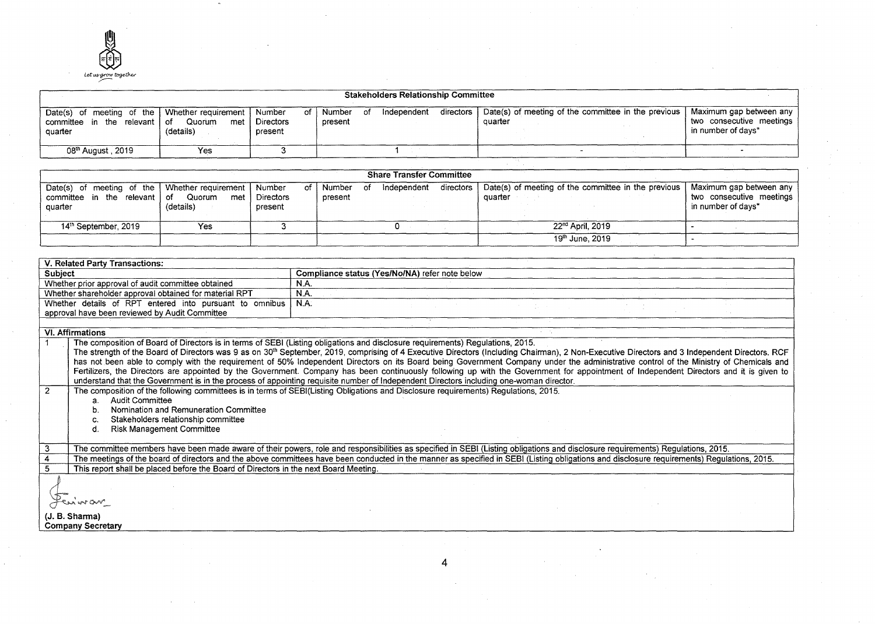

| <b>Stakeholders Relationship Committee</b>                                                          |                            |                            |                      |             |           |                                                                |                                                                           |  |
|-----------------------------------------------------------------------------------------------------|----------------------------|----------------------------|----------------------|-------------|-----------|----------------------------------------------------------------|---------------------------------------------------------------------------|--|
| Date(s) of meeting of the   Whether requirement   Number<br>committee in the relevant of<br>quarter | Quorum<br>met<br>(details) | of<br>Directors<br>present | Number of<br>present | Independent | directors | Date(s) of meeting of the committee in the previous<br>quarter | Maximum gap between any<br>two consecutive meetings<br>in number of days* |  |
| 08 <sup>th</sup> August , 2019                                                                      | Yes                        |                            |                      |             |           |                                                                |                                                                           |  |

| <b>Share Transfer Committee</b>                                                                 |                            |                              |                   |      |             |           |                                                                |                                                                               |
|-------------------------------------------------------------------------------------------------|----------------------------|------------------------------|-------------------|------|-------------|-----------|----------------------------------------------------------------|-------------------------------------------------------------------------------|
| Date(s) of meeting of the Whether requirement Number<br>committee in the relevant of<br>quarter | Quorum<br>met<br>(details) | of I<br>Directors<br>present | Number<br>present | - of | Independent | directors | Date(s) of meeting of the committee in the previous<br>quarter | , Maximum gap between any '<br>two consecutive meetings<br>in number of days* |
| 14 <sup>th</sup> September, 2019                                                                | Yes                        |                              |                   |      |             |           | 22 <sup>nd</sup> April, 2019                                   |                                                                               |
|                                                                                                 |                            |                              |                   |      |             |           | 19 <sup>th</sup> June, 2019                                    |                                                                               |

| V. Related Party Transactions:                                                                                                                                                                            |  |
|-----------------------------------------------------------------------------------------------------------------------------------------------------------------------------------------------------------|--|
| Compliance status (Yes/No/NA) refer note below<br>Subject                                                                                                                                                 |  |
| Whether prior approval of audit committee obtained<br>N.A.                                                                                                                                                |  |
| N.A.<br>Whether shareholder approval obtained for material RPT                                                                                                                                            |  |
| Whether details of RPT entered into pursuant to omnibus<br>N.A.                                                                                                                                           |  |
| approval have been reviewed by Audit Committee                                                                                                                                                            |  |
|                                                                                                                                                                                                           |  |
| <b>VI. Affirmations</b>                                                                                                                                                                                   |  |
| The composition of Board of Directors is in terms of SEBI (Listing obligations and disclosure requirements) Regulations, 2015.                                                                            |  |
| The strength of the Board of Directors was 9 as on 30 <sup>th</sup> September, 2019, comprising of 4 Executive Directors (Including Chairman), 2 Non-Executive Directors and 3 Independent Directors. RCF |  |
| has not been able to comply with the requirement of 50% Independent Directors on its Board being Government Company under the administrative control of the Ministry of Chemicals and                     |  |
| Fertilizers, the Directors are appointed by the Government. Company has been continuously following up with the Government for appointment of Independent Directors and it is given to                    |  |
| understand that the Government is in the process of appointing requisite number of Independent Directors including one-woman director.                                                                    |  |
| $\overline{2}$<br>The composition of the following committees is in terms of SEBI(Listing Obligations and Disclosure requirements) Regulations, 2015.                                                     |  |
| <b>Audit Committee</b><br>a.                                                                                                                                                                              |  |
| Nomination and Remuneration Committee<br>b.                                                                                                                                                               |  |
| Stakeholders relationship committee                                                                                                                                                                       |  |
| <b>Risk Management Committee</b><br>d.                                                                                                                                                                    |  |
|                                                                                                                                                                                                           |  |
| 3<br>The committee members have been made aware of their powers, role and responsibilities as specified in SEBI (Listing obligations and disclosure requirements) Regulations, 2015.                      |  |
| The meetings of the board of directors and the above committees have been conducted in the manner as specified in SEBI (Listing obligations and disclosure requirements) Regulations, 2015.               |  |
| This report shall be placed before the Board of Directors in the next Board Meeting.<br>5.                                                                                                                |  |
|                                                                                                                                                                                                           |  |
|                                                                                                                                                                                                           |  |
| universional                                                                                                                                                                                              |  |
|                                                                                                                                                                                                           |  |
| (J. B. Sharma)                                                                                                                                                                                            |  |
| <b>Company Secretary</b>                                                                                                                                                                                  |  |

4